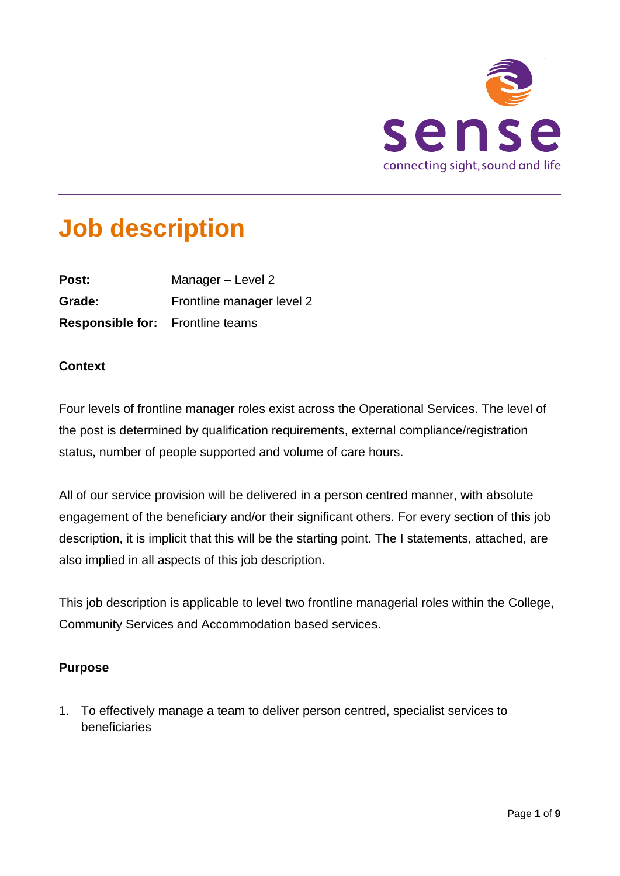

# **Job description**

| Post:                                   | Manager - Level 2         |
|-----------------------------------------|---------------------------|
| Grade:                                  | Frontline manager level 2 |
| <b>Responsible for:</b> Frontline teams |                           |

# **Context**

Four levels of frontline manager roles exist across the Operational Services. The level of the post is determined by qualification requirements, external compliance/registration status, number of people supported and volume of care hours.

All of our service provision will be delivered in a person centred manner, with absolute engagement of the beneficiary and/or their significant others. For every section of this job description, it is implicit that this will be the starting point. The I statements, attached, are also implied in all aspects of this job description.

This job description is applicable to level two frontline managerial roles within the College, Community Services and Accommodation based services.

# **Purpose**

1. To effectively manage a team to deliver person centred, specialist services to beneficiaries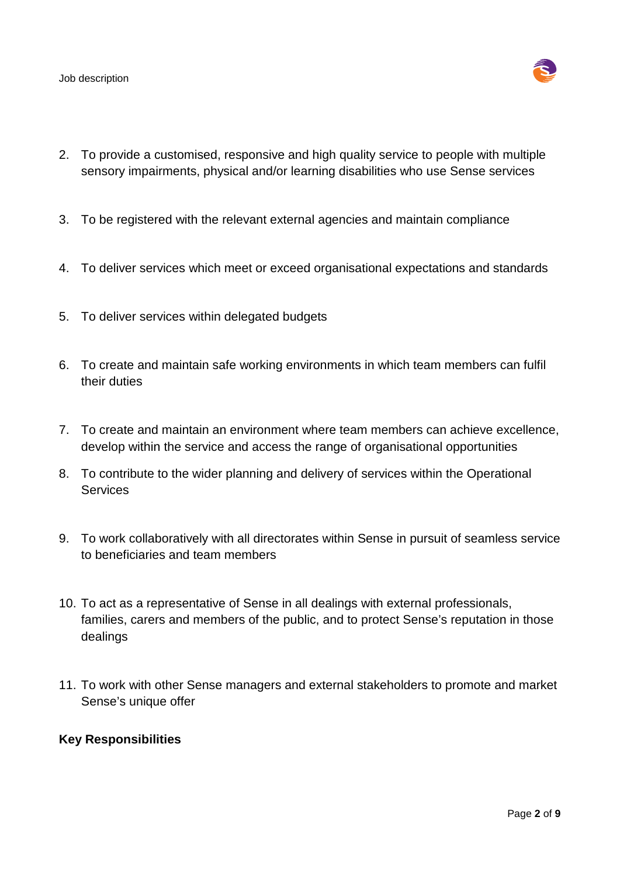Job description



- 2. To provide a customised, responsive and high quality service to people with multiple sensory impairments, physical and/or learning disabilities who use Sense services
- 3. To be registered with the relevant external agencies and maintain compliance
- 4. To deliver services which meet or exceed organisational expectations and standards
- 5. To deliver services within delegated budgets
- 6. To create and maintain safe working environments in which team members can fulfil their duties
- 7. To create and maintain an environment where team members can achieve excellence, develop within the service and access the range of organisational opportunities
- 8. To contribute to the wider planning and delivery of services within the Operational **Services**
- 9. To work collaboratively with all directorates within Sense in pursuit of seamless service to beneficiaries and team members
- 10. To act as a representative of Sense in all dealings with external professionals, families, carers and members of the public, and to protect Sense's reputation in those dealings
- 11. To work with other Sense managers and external stakeholders to promote and market Sense's unique offer

# **Key Responsibilities**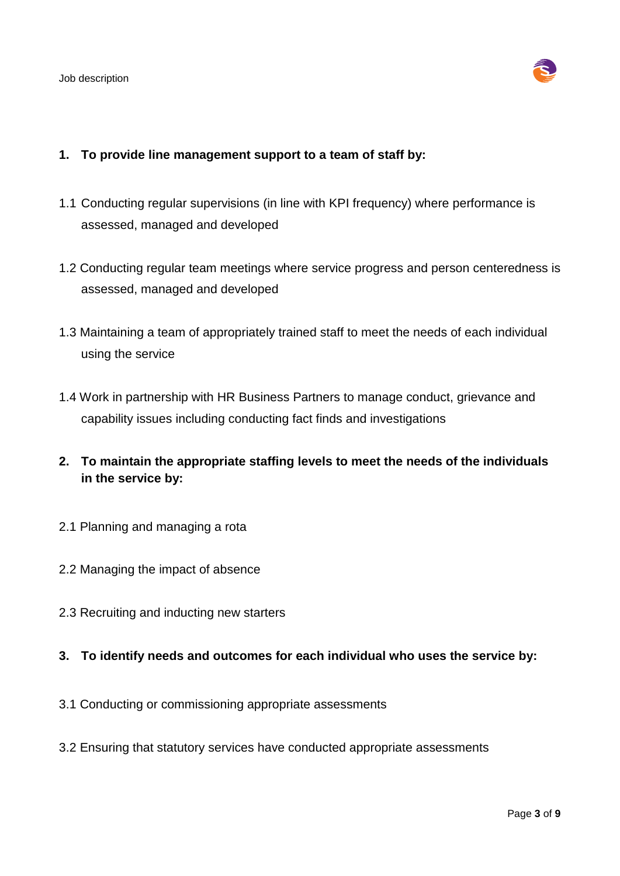

#### **1. To provide line management support to a team of staff by:**

- 1.1 Conducting regular supervisions (in line with KPI frequency) where performance is assessed, managed and developed
- 1.2 Conducting regular team meetings where service progress and person centeredness is assessed, managed and developed
- 1.3 Maintaining a team of appropriately trained staff to meet the needs of each individual using the service
- 1.4 Work in partnership with HR Business Partners to manage conduct, grievance and capability issues including conducting fact finds and investigations
- **2. To maintain the appropriate staffing levels to meet the needs of the individuals in the service by:**
- 2.1 Planning and managing a rota
- 2.2 Managing the impact of absence
- 2.3 Recruiting and inducting new starters
- **3. To identify needs and outcomes for each individual who uses the service by:**
- 3.1 Conducting or commissioning appropriate assessments
- 3.2 Ensuring that statutory services have conducted appropriate assessments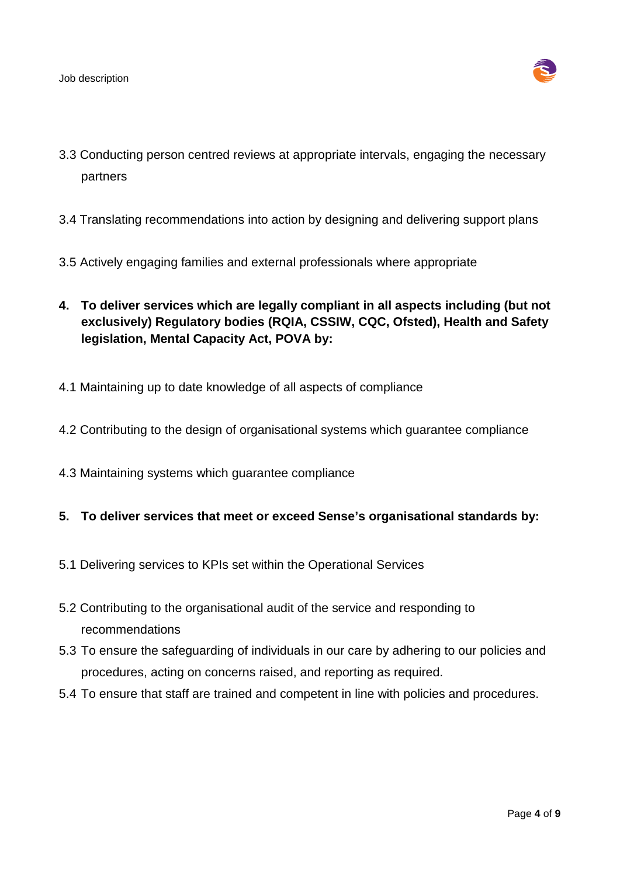

- 3.3 Conducting person centred reviews at appropriate intervals, engaging the necessary partners
- 3.4 Translating recommendations into action by designing and delivering support plans
- 3.5 Actively engaging families and external professionals where appropriate
- **4. To deliver services which are legally compliant in all aspects including (but not exclusively) Regulatory bodies (RQIA, CSSIW, CQC, Ofsted), Health and Safety legislation, Mental Capacity Act, POVA by:**
- 4.1 Maintaining up to date knowledge of all aspects of compliance
- 4.2 Contributing to the design of organisational systems which guarantee compliance
- 4.3 Maintaining systems which guarantee compliance

#### **5. To deliver services that meet or exceed Sense's organisational standards by:**

- 5.1 Delivering services to KPIs set within the Operational Services
- 5.2 Contributing to the organisational audit of the service and responding to recommendations
- 5.3 To ensure the safeguarding of individuals in our care by adhering to our policies and procedures, acting on concerns raised, and reporting as required.
- 5.4 To ensure that staff are trained and competent in line with policies and procedures.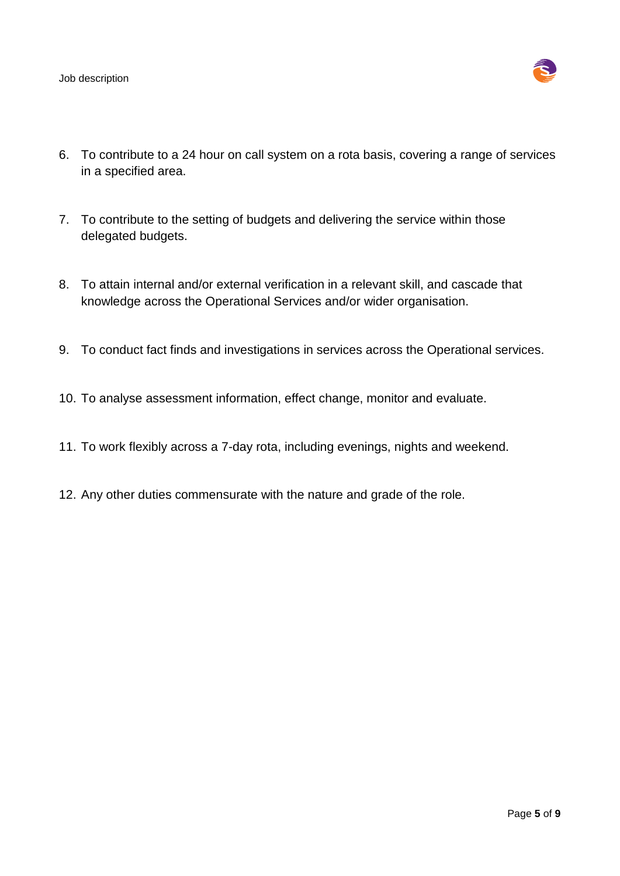Job description



- 6. To contribute to a 24 hour on call system on a rota basis, covering a range of services in a specified area.
- 7. To contribute to the setting of budgets and delivering the service within those delegated budgets.
- 8. To attain internal and/or external verification in a relevant skill, and cascade that knowledge across the Operational Services and/or wider organisation.
- 9. To conduct fact finds and investigations in services across the Operational services.
- 10. To analyse assessment information, effect change, monitor and evaluate.
- 11. To work flexibly across a 7-day rota, including evenings, nights and weekend.
- 12. Any other duties commensurate with the nature and grade of the role.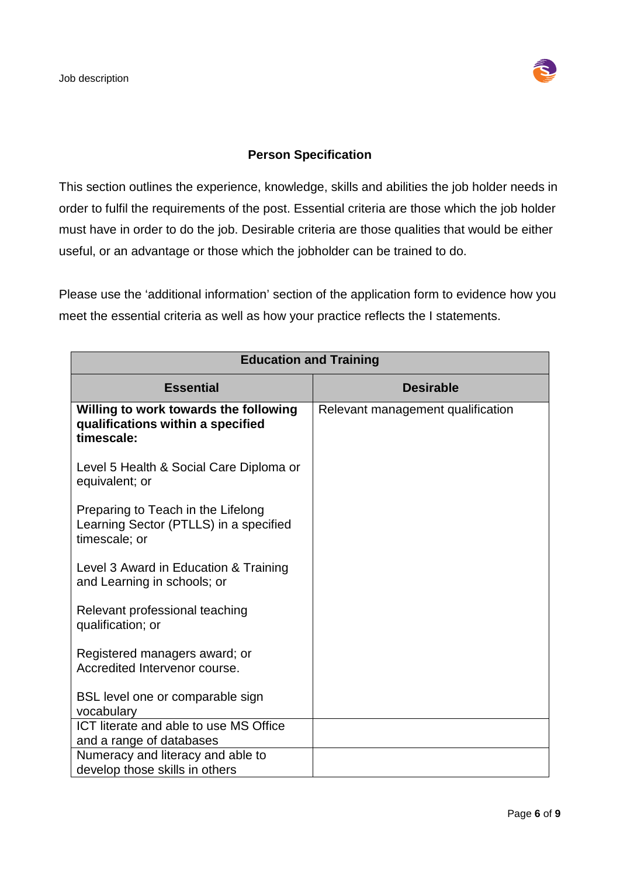

# **Person Specification**

This section outlines the experience, knowledge, skills and abilities the job holder needs in order to fulfil the requirements of the post. Essential criteria are those which the job holder must have in order to do the job. Desirable criteria are those qualities that would be either useful, or an advantage or those which the jobholder can be trained to do.

Please use the 'additional information' section of the application form to evidence how you meet the essential criteria as well as how your practice reflects the I statements.

| <b>Education and Training</b>                                                                 |                                   |  |  |
|-----------------------------------------------------------------------------------------------|-----------------------------------|--|--|
| <b>Essential</b>                                                                              | <b>Desirable</b>                  |  |  |
| Willing to work towards the following<br>qualifications within a specified<br>timescale:      | Relevant management qualification |  |  |
| Level 5 Health & Social Care Diploma or<br>equivalent; or                                     |                                   |  |  |
| Preparing to Teach in the Lifelong<br>Learning Sector (PTLLS) in a specified<br>timescale; or |                                   |  |  |
| Level 3 Award in Education & Training<br>and Learning in schools; or                          |                                   |  |  |
| Relevant professional teaching<br>qualification; or                                           |                                   |  |  |
| Registered managers award; or<br>Accredited Intervenor course.                                |                                   |  |  |
| BSL level one or comparable sign<br>vocabulary                                                |                                   |  |  |
| ICT literate and able to use MS Office<br>and a range of databases                            |                                   |  |  |
| Numeracy and literacy and able to<br>develop those skills in others                           |                                   |  |  |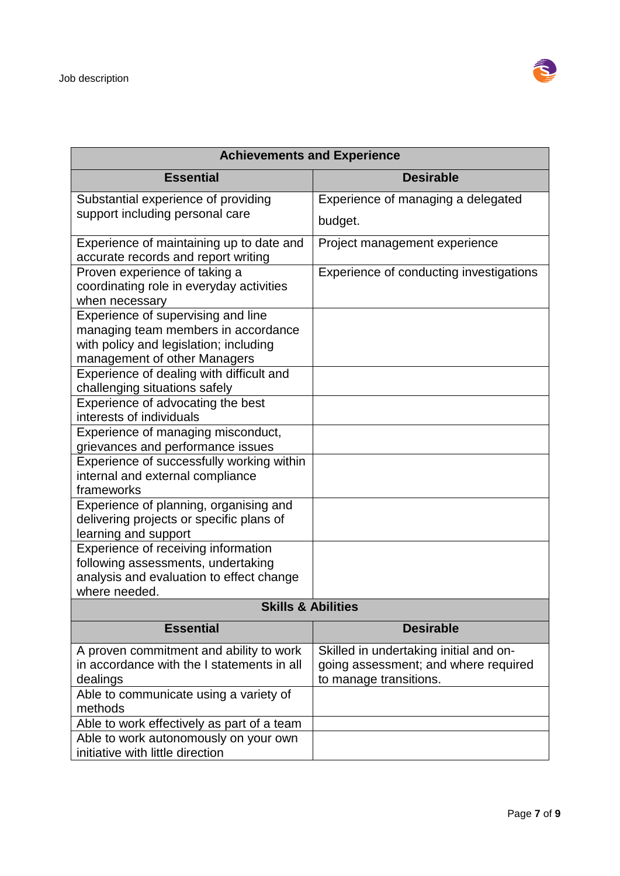

| <b>Achievements and Experience</b>                                                                                                                  |                                                                                                          |  |
|-----------------------------------------------------------------------------------------------------------------------------------------------------|----------------------------------------------------------------------------------------------------------|--|
| <b>Essential</b>                                                                                                                                    | <b>Desirable</b>                                                                                         |  |
| Substantial experience of providing                                                                                                                 | Experience of managing a delegated                                                                       |  |
| support including personal care                                                                                                                     | budget.                                                                                                  |  |
| Experience of maintaining up to date and<br>accurate records and report writing                                                                     | Project management experience                                                                            |  |
| Proven experience of taking a<br>coordinating role in everyday activities<br>when necessary                                                         | Experience of conducting investigations                                                                  |  |
| Experience of supervising and line<br>managing team members in accordance<br>with policy and legislation; including<br>management of other Managers |                                                                                                          |  |
| Experience of dealing with difficult and<br>challenging situations safely                                                                           |                                                                                                          |  |
| Experience of advocating the best<br>interests of individuals                                                                                       |                                                                                                          |  |
| Experience of managing misconduct,<br>grievances and performance issues                                                                             |                                                                                                          |  |
| Experience of successfully working within<br>internal and external compliance<br>frameworks                                                         |                                                                                                          |  |
| Experience of planning, organising and<br>delivering projects or specific plans of<br>learning and support                                          |                                                                                                          |  |
| Experience of receiving information<br>following assessments, undertaking<br>analysis and evaluation to effect change<br>where needed.              |                                                                                                          |  |
| <b>Skills &amp; Abilities</b>                                                                                                                       |                                                                                                          |  |
| <b>Essential</b>                                                                                                                                    | <b>Desirable</b>                                                                                         |  |
| A proven commitment and ability to work<br>in accordance with the I statements in all<br>dealings                                                   | Skilled in undertaking initial and on-<br>going assessment; and where required<br>to manage transitions. |  |
| Able to communicate using a variety of<br>methods                                                                                                   |                                                                                                          |  |
| Able to work effectively as part of a team                                                                                                          |                                                                                                          |  |
| Able to work autonomously on your own<br>initiative with little direction                                                                           |                                                                                                          |  |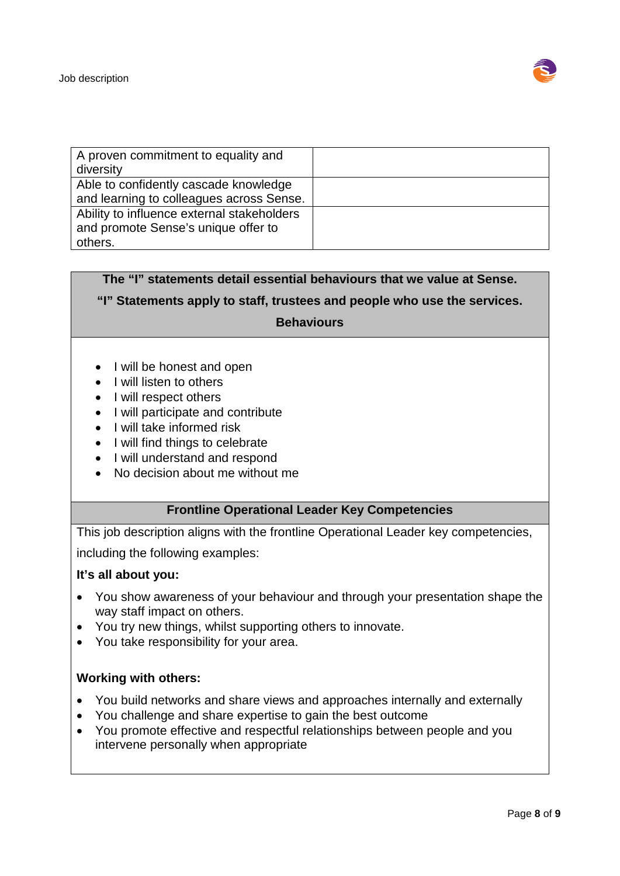

| A proven commitment to equality and        |  |
|--------------------------------------------|--|
| diversity                                  |  |
| Able to confidently cascade knowledge      |  |
| and learning to colleagues across Sense.   |  |
| Ability to influence external stakeholders |  |
| and promote Sense's unique offer to        |  |
| others.                                    |  |

# **The "I" statements detail essential behaviours that we value at Sense.**

**"I" Statements apply to staff, trustees and people who use the services.** 

#### **Behaviours**

- I will be honest and open
- I will listen to others
- I will respect others
- I will participate and contribute
- I will take informed risk
- I will find things to celebrate
- I will understand and respond
- No decision about me without me

# **Frontline Operational Leader Key Competencies**

This job description aligns with the frontline Operational Leader key competencies,

including the following examples:

#### **It's all about you:**

- You show awareness of your behaviour and through your presentation shape the way staff impact on others.
- You try new things, whilst supporting others to innovate.
- You take responsibility for your area.

#### **Working with others:**

- You build networks and share views and approaches internally and externally
- You challenge and share expertise to gain the best outcome
- You promote effective and respectful relationships between people and you intervene personally when appropriate